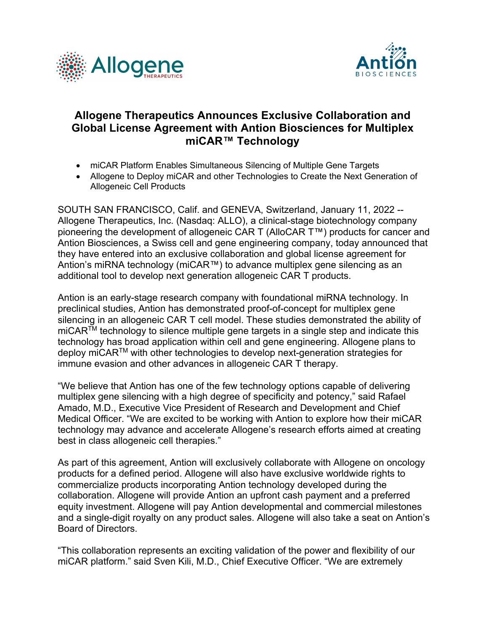



## **Allogene Therapeutics Announces Exclusive Collaboration and Global License Agreement with Antion Biosciences for Multiplex miCAR™ Technology**

- miCAR Platform Enables Simultaneous Silencing of Multiple Gene Targets
- Allogene to Deploy miCAR and other Technologies to Create the Next Generation of Allogeneic Cell Products

SOUTH SAN FRANCISCO, Calif. and GENEVA, Switzerland, January 11, 2022 -- Allogene Therapeutics, Inc. (Nasdaq: ALLO), a clinical-stage biotechnology company pioneering the development of allogeneic CAR T (AlloCAR T™) products for cancer and Antion Biosciences, a Swiss cell and gene engineering company, today announced that they have entered into an exclusive collaboration and global license agreement for Antion's miRNA technology (miCAR™) to advance multiplex gene silencing as an additional tool to develop next generation allogeneic CAR T products.

Antion is an early-stage research company with foundational miRNA technology. In preclinical studies, Antion has demonstrated proof-of-concept for multiplex gene silencing in an allogeneic CAR T cell model. These studies demonstrated the ability of miCARTM technology to silence multiple gene targets in a single step and indicate this technology has broad application within cell and gene engineering. Allogene plans to deploy miCARTM with other technologies to develop next-generation strategies for immune evasion and other advances in allogeneic CAR T therapy.

"We believe that Antion has one of the few technology options capable of delivering multiplex gene silencing with a high degree of specificity and potency," said Rafael Amado, M.D., Executive Vice President of Research and Development and Chief Medical Officer. "We are excited to be working with Antion to explore how their miCAR technology may advance and accelerate Allogene's research efforts aimed at creating best in class allogeneic cell therapies."

As part of this agreement, Antion will exclusively collaborate with Allogene on oncology products for a defined period. Allogene will also have exclusive worldwide rights to commercialize products incorporating Antion technology developed during the collaboration. Allogene will provide Antion an upfront cash payment and a preferred equity investment. Allogene will pay Antion developmental and commercial milestones and a single-digit royalty on any product sales. Allogene will also take a seat on Antion's Board of Directors.

"This collaboration represents an exciting validation of the power and flexibility of our miCAR platform." said Sven Kili, M.D., Chief Executive Officer. "We are extremely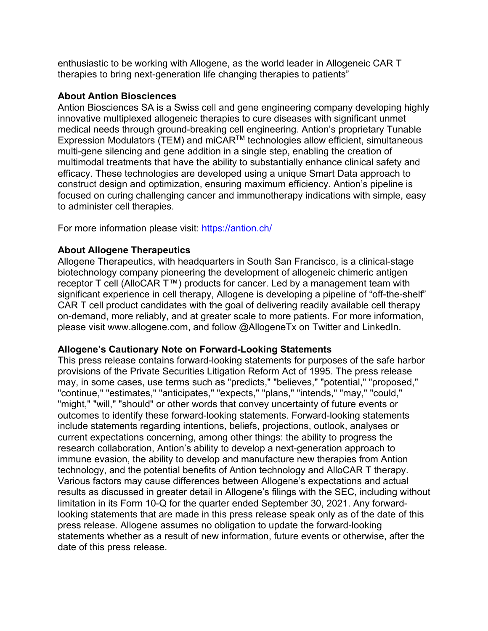enthusiastic to be working with Allogene, as the world leader in Allogeneic CAR T therapies to bring next-generation life changing therapies to patients"

## **About Antion Biosciences**

Antion Biosciences SA is a Swiss cell and gene engineering company developing highly innovative multiplexed allogeneic therapies to cure diseases with significant unmet medical needs through ground-breaking cell engineering. Antion's proprietary Tunable Expression Modulators (TEM) and miCARTM technologies allow efficient, simultaneous multi-gene silencing and gene addition in a single step, enabling the creation of multimodal treatments that have the ability to substantially enhance clinical safety and efficacy. These technologies are developed using a unique Smart Data approach to construct design and optimization, ensuring maximum efficiency. Antion's pipeline is focused on curing challenging cancer and immunotherapy indications with simple, easy to administer cell therapies.

For more information please visit: https://antion.ch/

## **About Allogene Therapeutics**

Allogene Therapeutics, with headquarters in South San Francisco, is a clinical-stage biotechnology company pioneering the development of allogeneic chimeric antigen receptor T cell (AlloCAR T™) products for cancer. Led by a management team with significant experience in cell therapy, Allogene is developing a pipeline of "off-the-shelf" CAR T cell product candidates with the goal of delivering readily available cell therapy on-demand, more reliably, and at greater scale to more patients. For more information, please visit www.allogene.com, and follow @AllogeneTx on Twitter and LinkedIn.

## **Allogene's Cautionary Note on Forward-Looking Statements**

This press release contains forward-looking statements for purposes of the safe harbor provisions of the Private Securities Litigation Reform Act of 1995. The press release may, in some cases, use terms such as "predicts," "believes," "potential," "proposed," "continue," "estimates," "anticipates," "expects," "plans," "intends," "may," "could," "might," "will," "should" or other words that convey uncertainty of future events or outcomes to identify these forward-looking statements. Forward-looking statements include statements regarding intentions, beliefs, projections, outlook, analyses or current expectations concerning, among other things: the ability to progress the research collaboration, Antion's ability to develop a next-generation approach to immune evasion, the ability to develop and manufacture new therapies from Antion technology, and the potential benefits of Antion technology and AlloCAR T therapy. Various factors may cause differences between Allogene's expectations and actual results as discussed in greater detail in Allogene's filings with the SEC, including without limitation in its Form 10-Q for the quarter ended September 30, 2021. Any forwardlooking statements that are made in this press release speak only as of the date of this press release. Allogene assumes no obligation to update the forward-looking statements whether as a result of new information, future events or otherwise, after the date of this press release.